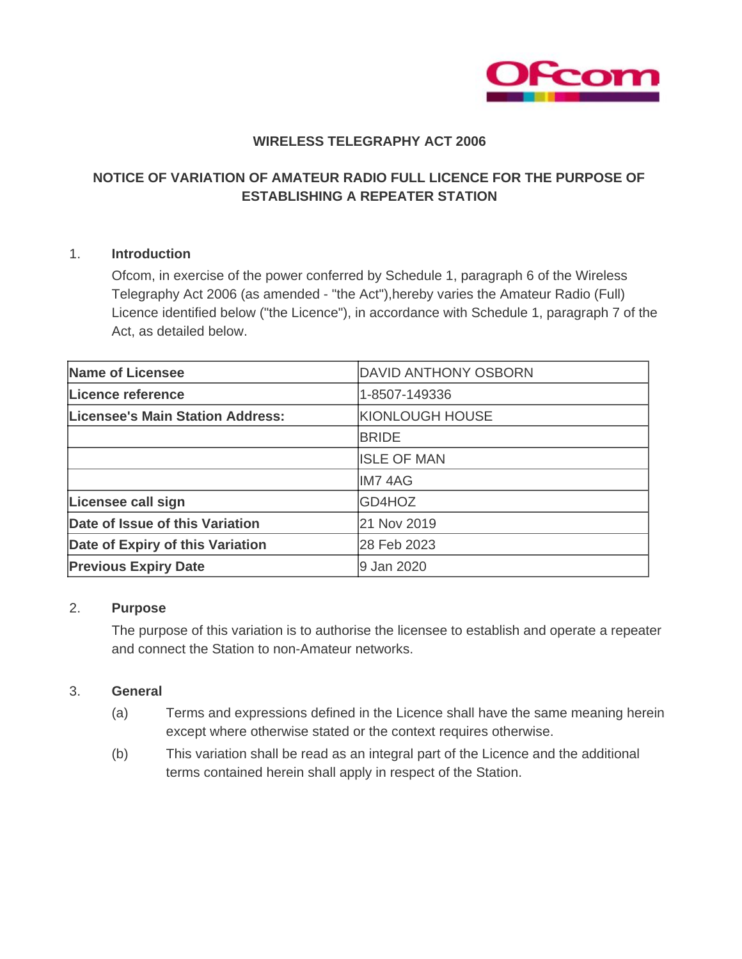

### **WIRELESS TELEGRAPHY ACT 2006**

# **NOTICE OF VARIATION OF AMATEUR RADIO FULL LICENCE FOR THE PURPOSE OF ESTABLISHING A REPEATER STATION**

#### 1. **Introduction**

Ofcom, in exercise of the power conferred by Schedule 1, paragraph 6 of the Wireless Telegraphy Act 2006 (as amended - "the Act"),hereby varies the Amateur Radio (Full) Licence identified below ("the Licence"), in accordance with Schedule 1, paragraph 7 of the Act, as detailed below.

| Name of Licensee                 | <b>DAVID ANTHONY OSBORN</b> |
|----------------------------------|-----------------------------|
| Licence reference                | 1-8507-149336               |
| Licensee's Main Station Address: | KIONLOUGH HOUSE             |
|                                  | <b>BRIDE</b>                |
|                                  | <b>ISLE OF MAN</b>          |
|                                  | <b>IM74AG</b>               |
| Licensee call sign               | GD4HOZ                      |
| Date of Issue of this Variation  | 21 Nov 2019                 |
| Date of Expiry of this Variation | 28 Feb 2023                 |
| <b>Previous Expiry Date</b>      | 9 Jan 2020                  |

#### 2. **Purpose**

The purpose of this variation is to authorise the licensee to establish and operate a repeater and connect the Station to non-Amateur networks.

#### 3. **General**

- (a) Terms and expressions defined in the Licence shall have the same meaning herein except where otherwise stated or the context requires otherwise.
- (b) This variation shall be read as an integral part of the Licence and the additional terms contained herein shall apply in respect of the Station.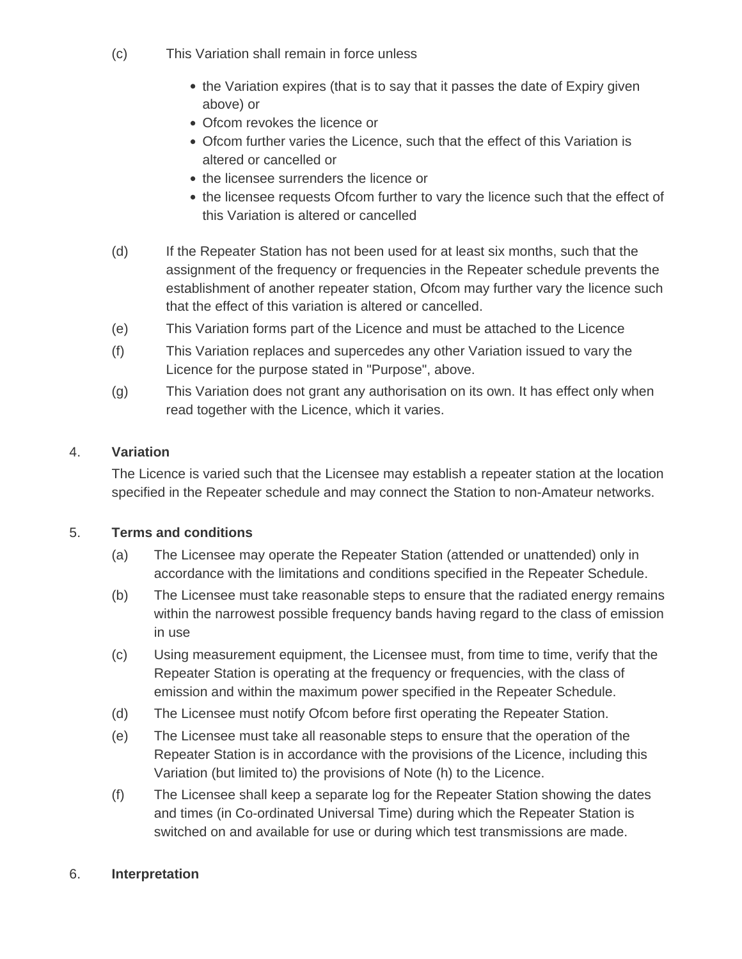- (c) This Variation shall remain in force unless
	- the Variation expires (that is to say that it passes the date of Expiry given above) or
	- Ofcom revokes the licence or
	- Ofcom further varies the Licence, such that the effect of this Variation is altered or cancelled or
	- the licensee surrenders the licence or
	- the licensee requests Ofcom further to vary the licence such that the effect of this Variation is altered or cancelled
- (d) If the Repeater Station has not been used for at least six months, such that the assignment of the frequency or frequencies in the Repeater schedule prevents the establishment of another repeater station, Ofcom may further vary the licence such that the effect of this variation is altered or cancelled.
- (e) This Variation forms part of the Licence and must be attached to the Licence
- (f) This Variation replaces and supercedes any other Variation issued to vary the Licence for the purpose stated in "Purpose", above.
- (g) This Variation does not grant any authorisation on its own. It has effect only when read together with the Licence, which it varies.

## 4. **Variation**

The Licence is varied such that the Licensee may establish a repeater station at the location specified in the Repeater schedule and may connect the Station to non-Amateur networks.

## 5. **Terms and conditions**

- (a) The Licensee may operate the Repeater Station (attended or unattended) only in accordance with the limitations and conditions specified in the Repeater Schedule.
- (b) The Licensee must take reasonable steps to ensure that the radiated energy remains within the narrowest possible frequency bands having regard to the class of emission in use
- (c) Using measurement equipment, the Licensee must, from time to time, verify that the Repeater Station is operating at the frequency or frequencies, with the class of emission and within the maximum power specified in the Repeater Schedule.
- (d) The Licensee must notify Ofcom before first operating the Repeater Station.
- (e) The Licensee must take all reasonable steps to ensure that the operation of the Repeater Station is in accordance with the provisions of the Licence, including this Variation (but limited to) the provisions of Note (h) to the Licence.
- (f) The Licensee shall keep a separate log for the Repeater Station showing the dates and times (in Co-ordinated Universal Time) during which the Repeater Station is switched on and available for use or during which test transmissions are made.

# 6. **Interpretation**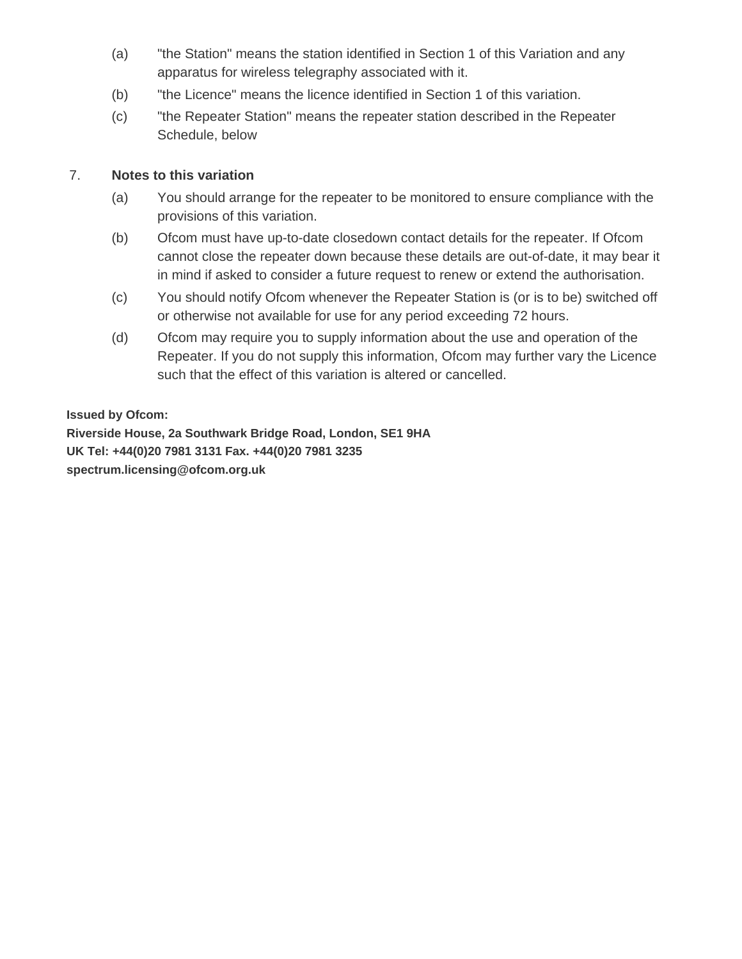- (a) "the Station" means the station identified in Section 1 of this Variation and any apparatus for wireless telegraphy associated with it.
- (b) "the Licence" means the licence identified in Section 1 of this variation.
- (c) "the Repeater Station" means the repeater station described in the Repeater Schedule, below

## 7. **Notes to this variation**

- (a) You should arrange for the repeater to be monitored to ensure compliance with the provisions of this variation.
- (b) Ofcom must have up-to-date closedown contact details for the repeater. If Ofcom cannot close the repeater down because these details are out-of-date, it may bear it in mind if asked to consider a future request to renew or extend the authorisation.
- (c) You should notify Ofcom whenever the Repeater Station is (or is to be) switched off or otherwise not available for use for any period exceeding 72 hours.
- (d) Ofcom may require you to supply information about the use and operation of the Repeater. If you do not supply this information, Ofcom may further vary the Licence such that the effect of this variation is altered or cancelled.

**Issued by Ofcom:** 

**Riverside House, 2a Southwark Bridge Road, London, SE1 9HA UK Tel: +44(0)20 7981 3131 Fax. +44(0)20 7981 3235 spectrum.licensing@ofcom.org.uk**